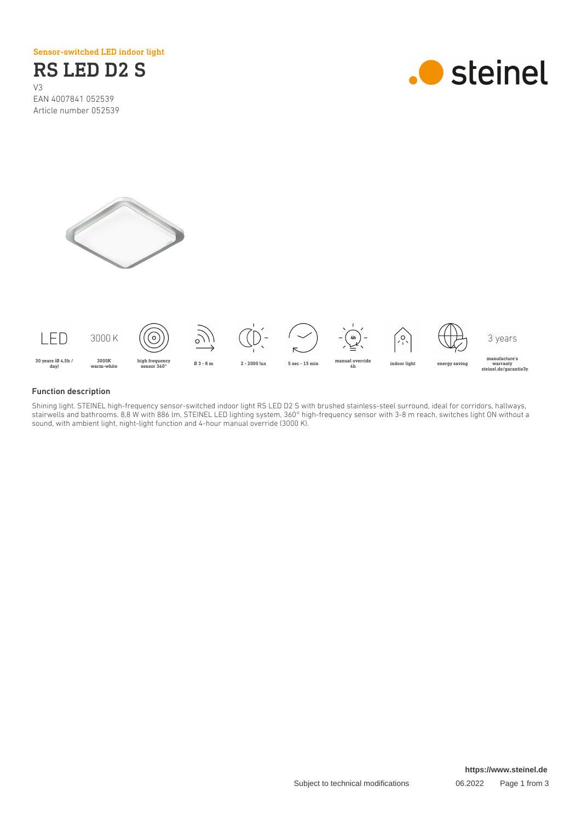Sensor-switched LED indoor light

# RS LED D2 S

V3 EAN 4007841 052539 Article number 052539







#### Function description

Shining light. STEINEL high-frequency sensor-switched indoor light RS LED D2 S with brushed stainless-steel surround, ideal for corridors, hallways, stairwells and bathrooms. 8,8 W with 886 lm, STEINEL LED lighting system, 360° high-frequency sensor with 3-8 m reach, switches light ON without a sound, with ambient light, night-light function and 4-hour manual override (3000 K).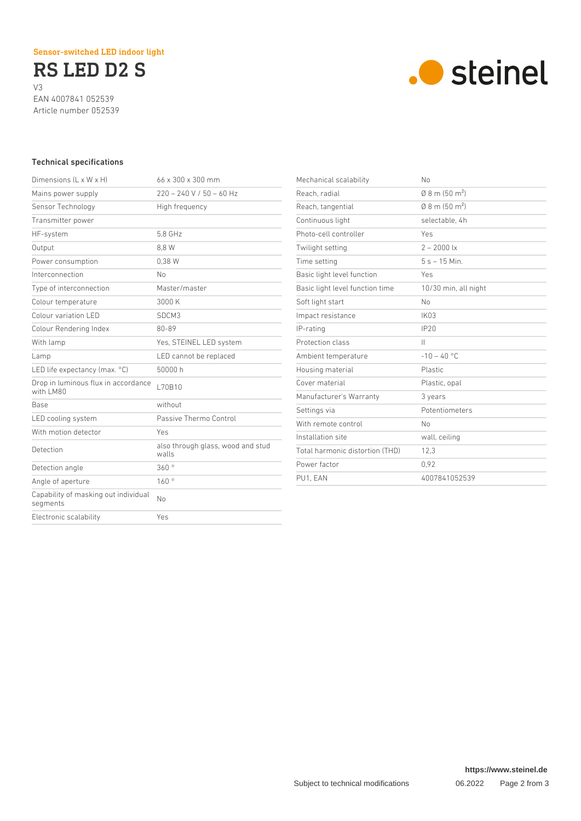RS LED D2 S V3 EAN 4007841 052539

Article number 052539



## Technical specifications

| Dimensions $(L \times W \times H)$               | $66 \times 300 \times 300$ mm              |
|--------------------------------------------------|--------------------------------------------|
| Mains power supply                               | $220 - 240$ V / 50 - 60 Hz                 |
| Sensor Technology                                | High frequency                             |
| Transmitter power                                |                                            |
| HF-system                                        | 5.8 GHz                                    |
| Output                                           | 8.8 W                                      |
| Power consumption                                | 0.38W                                      |
| Interconnection                                  | No                                         |
| Type of interconnection                          | Master/master                              |
| Colour temperature                               | 3000 K                                     |
| Colour variation LED                             | SDCM3                                      |
| Colour Rendering Index                           | $80 - 89$                                  |
| With lamp                                        | Yes, STEINEL LED system                    |
| Lamp                                             | LED cannot be replaced                     |
| LED life expectancy (max. °C)                    | 50000 h                                    |
| Drop in luminous flux in accordance<br>with LM80 | L70B10                                     |
| <b>Base</b>                                      | without                                    |
| LED cooling system                               | Passive Thermo Control                     |
| With motion detector                             | Yes                                        |
| Detection                                        | also through glass, wood and stud<br>walls |
| Detection angle                                  | 360°                                       |
| Angle of aperture                                | 160°                                       |
| Capability of masking out individual<br>segments | No                                         |
| Electronic scalability                           | Yes                                        |
|                                                  |                                            |

| Mechanical scalability          | No                                 |
|---------------------------------|------------------------------------|
| Reach, radial                   | $0.8$ m (50 m <sup>2</sup> )       |
| Reach, tangential               | $(0.8 \text{ m} (50 \text{ m}^2))$ |
| Continuous light                | selectable, 4h                     |
| Photo-cell controller           | Yes                                |
| Twilight setting                | $2 - 2000$ lx                      |
| Time setting                    | $5s - 15$ Min.                     |
| Basic light level function      | Yes                                |
| Basic light level function time | 10/30 min, all night               |
| Soft light start                | No                                 |
| Impact resistance               | <b>IK03</b>                        |
| IP-rating                       | IP20                               |
| Protection class                | $\mathbf{H}$                       |
| Ambient temperature             | $-10 - 40$ °C                      |
| Housing material                | Plastic                            |
| Cover material                  | Plastic, opal                      |
| Manufacturer's Warranty         | 3 years                            |
| Settings via                    | Potentiometers                     |
| With remote control             | No                                 |
| Installation site               | wall, ceiling                      |
| Total harmonic distortion (THD) | 12,3                               |
| Power factor                    | 0.92                               |
| PU1, EAN                        | 4007841052539                      |
|                                 |                                    |